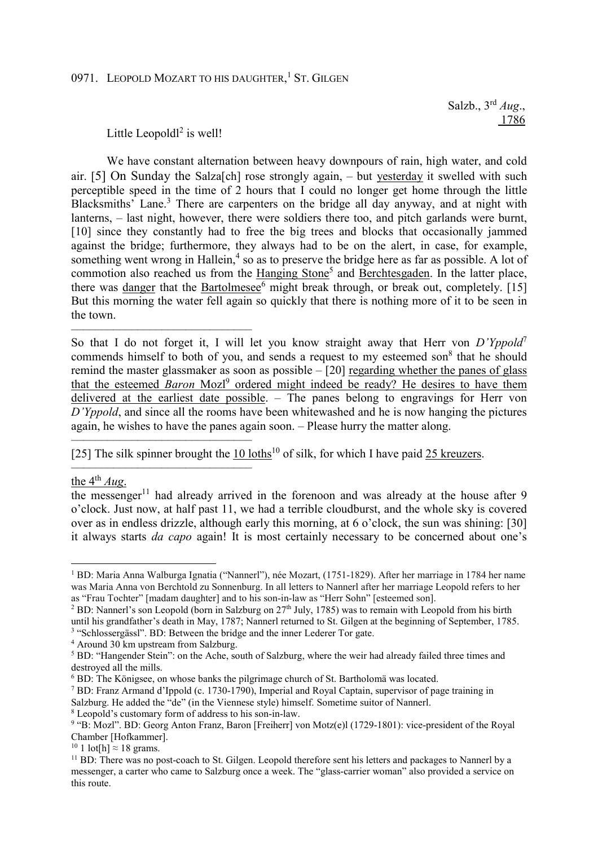## 0971. LEOPOLD MOZART TO HIS DAUGHTER,<sup>1</sup> ST. GILGEN

 Salzb., 3rd *Aug*., 1786

Little Leopold $l^2$  is well!

––––––––––––––––––––––––––––––

––––––––––––––––––––––––––––––

We have constant alternation between heavy downpours of rain, high water, and cold air. [5] On Sunday the Salza[ch] rose strongly again, – but yesterday it swelled with such perceptible speed in the time of 2 hours that I could no longer get home through the little Blacksmiths' Lane.<sup>3</sup> There are carpenters on the bridge all day anyway, and at night with lanterns,  $-$  last night, however, there were soldiers there too, and pitch garlands were burnt, [10] since they constantly had to free the big trees and blocks that occasionally jammed against the bridge; furthermore, they always had to be on the alert, in case, for example, something went wrong in Hallein,<sup>4</sup> so as to preserve the bridge here as far as possible. A lot of commotion also reached us from the Hanging Stone<sup>5</sup> and Berchtesgaden. In the latter place, there was danger that the Bartolmesee<sup>6</sup> might break through, or break out, completely. [15] But this morning the water fell again so quickly that there is nothing more of it to be seen in the town.

So that I do not forget it, I will let you know straight away that Herr von *D'Yppold*<sup>7</sup> commends himself to both of you, and sends a request to my esteemed son<sup>8</sup> that he should remind the master glassmaker as soon as possible – [20] regarding whether the panes of glass that the esteemed *Baron* Mozl<sup>9</sup> ordered might indeed be ready? He desires to have them delivered at the earliest date possible. – The panes belong to engravings for Herr von *D'Yppold*, and since all the rooms have been whitewashed and he is now hanging the pictures again, he wishes to have the panes again soon. – Please hurry the matter along.

–––––––––––––––––––––––––––––– [25] The silk spinner brought the 10 loths<sup>10</sup> of silk, for which I have paid 25 kreuzers.

the  $4^{th}$  *Aug*.

 $\overline{a}$ 

the messenger<sup>11</sup> had already arrived in the forenoon and was already at the house after 9 o'clock. Just now, at half past 11, we had a terrible cloudburst, and the whole sky is covered over as in endless drizzle, although early this morning, at 6 o'clock, the sun was shining: [30] it always starts *da capo* again! It is most certainly necessary to be concerned about one's

4 Around 30 km upstream from Salzburg.

8 Leopold's customary form of address to his son-in-law.

<sup>1</sup> BD: Maria Anna Walburga Ignatia ("Nannerl"), née Mozart, (1751-1829). After her marriage in 1784 her name was Maria Anna von Berchtold zu Sonnenburg. In all letters to Nannerl after her marriage Leopold refers to her as "Frau Tochter" [madam daughter] and to his son-in-law as "Herr Sohn" [esteemed son].

<sup>&</sup>lt;sup>2</sup> BD: Nannerl's son Leopold (born in Salzburg on  $27<sup>th</sup>$  July, 1785) was to remain with Leopold from his birth until his grandfather's death in May, 1787; Nannerl returned to St. Gilgen at the beginning of September, 1785. <sup>3</sup> "Schlossergässl". BD: Between the bridge and the inner Lederer Tor gate.

<sup>&</sup>lt;sup>5</sup> BD: "Hangender Stein": on the Ache, south of Salzburg, where the weir had already failed three times and destroyed all the mills.

<sup>6</sup> BD: The Königsee, on whose banks the pilgrimage church of St. Bartholomä was located.

<sup>7</sup> BD: Franz Armand d'Ippold (c. 1730-1790), Imperial and Royal Captain, supervisor of page training in Salzburg. He added the "de" (in the Viennese style) himself. Sometime suitor of Nannerl.

<sup>&</sup>lt;sup>9</sup> "B: Mozl". BD: Georg Anton Franz, Baron [Freiherr] von Motz(e)l (1729-1801): vice-president of the Royal Chamber [Hofkammer].

<sup>&</sup>lt;sup>10</sup> 1 lot[h]  $\approx$  18 grams.

<sup>&</sup>lt;sup>11</sup> BD: There was no post-coach to St. Gilgen. Leopold therefore sent his letters and packages to Nannerl by a messenger, a carter who came to Salzburg once a week. The "glass-carrier woman" also provided a service on this route.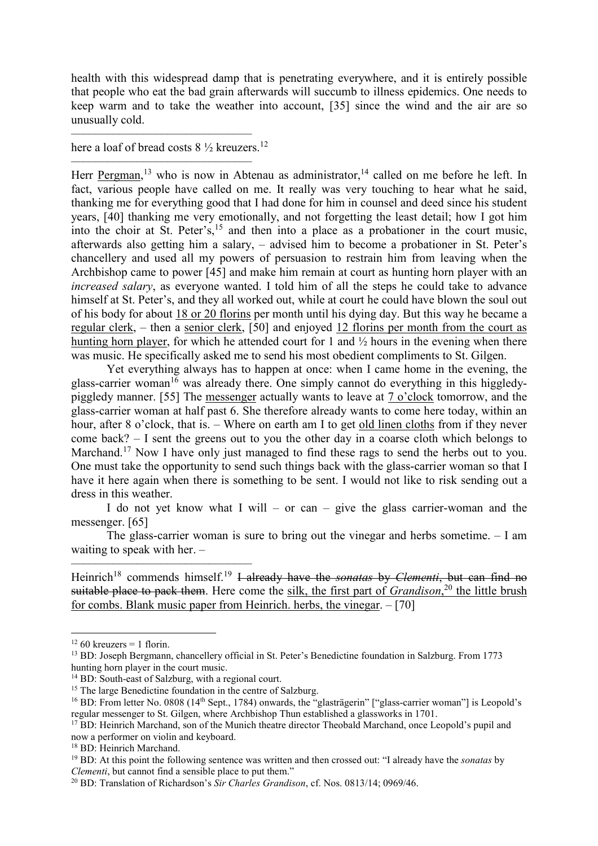health with this widespread damp that is penetrating everywhere, and it is entirely possible that people who eat the bad grain afterwards will succumb to illness epidemics. One needs to keep warm and to take the weather into account, [35] since the wind and the air are so unusually cold.

–––––––––––––––––––––––––––––– here a loaf of bread costs  $8\frac{1}{2}$  kreuzers.<sup>12</sup>

–––––––––––––––––––––––––––––– Herr Pergman,<sup>13</sup> who is now in Abtenau as administrator,<sup>14</sup> called on me before he left. In fact, various people have called on me. It really was very touching to hear what he said, thanking me for everything good that I had done for him in counsel and deed since his student years, [40] thanking me very emotionally, and not forgetting the least detail; how I got him into the choir at St. Peter's,  $^{15}$  and then into a place as a probationer in the court music, afterwards also getting him a salary, – advised him to become a probationer in St. Peter's chancellery and used all my powers of persuasion to restrain him from leaving when the Archbishop came to power [45] and make him remain at court as hunting horn player with an *increased salary*, as everyone wanted. I told him of all the steps he could take to advance himself at St. Peter's, and they all worked out, while at court he could have blown the soul out of his body for about 18 or 20 florins per month until his dying day. But this way he became a regular clerk, – then a senior clerk, [50] and enjoyed 12 florins per month from the court as hunting horn player, for which he attended court for 1 and  $\frac{1}{2}$  hours in the evening when there was music. He specifically asked me to send his most obedient compliments to St. Gilgen.

Yet everything always has to happen at once: when I came home in the evening, the glass-carrier woman<sup>16</sup> was already there. One simply cannot do everything in this higgledypiggledy manner. [55] The messenger actually wants to leave at 7 o'clock tomorrow, and the glass-carrier woman at half past 6. She therefore already wants to come here today, within an hour, after 8 o'clock, that is. – Where on earth am I to get old linen cloths from if they never come back? – I sent the greens out to you the other day in a coarse cloth which belongs to Marchand.<sup>17</sup> Now I have only just managed to find these rags to send the herbs out to you. One must take the opportunity to send such things back with the glass-carrier woman so that I have it here again when there is something to be sent. I would not like to risk sending out a dress in this weather.

I do not yet know what I will – or can – give the glass carrier-woman and the messenger. [65]

The glass-carrier woman is sure to bring out the vinegar and herbs sometime. – I am waiting to speak with her. –

–––––––––––––––––––––––––––––– Heinrich<sup>18</sup> commends himself.<sup>19</sup> I already have the *sonatas* by *Clementi*, but can find no suitable place to pack them. Here come the silk, the first part of *Grandison*<sup>20</sup> the little brush for combs. Blank music paper from Heinrich. herbs, the vinegar. – [70]

 $\overline{a}$ 

<sup>18</sup> BD: Heinrich Marchand.

<sup>&</sup>lt;sup>12</sup> 60 kreuzers = 1 florin.

<sup>13</sup> BD: Joseph Bergmann, chancellery official in St. Peter's Benedictine foundation in Salzburg. From 1773 hunting horn player in the court music.

<sup>&</sup>lt;sup>14</sup> BD: South-east of Salzburg, with a regional court.

<sup>&</sup>lt;sup>15</sup> The large Benedictine foundation in the centre of Salzburg.

<sup>&</sup>lt;sup>16</sup> BD: From letter No. 0808 (14<sup>th</sup> Sept., 1784) onwards, the "glasträgerin" ["glass-carrier woman"] is Leopold's regular messenger to St. Gilgen, where Archbishop Thun established a glassworks in 1701.

<sup>&</sup>lt;sup>17</sup> BD: Heinrich Marchand, son of the Munich theatre director Theobald Marchand, once Leopold's pupil and now a performer on violin and keyboard.

<sup>19</sup> BD: At this point the following sentence was written and then crossed out: "I already have the *sonatas* by *Clementi*, but cannot find a sensible place to put them."

<sup>20</sup> BD: Translation of Richardson's *Sir Charles Grandison*, cf. Nos. 0813/14; 0969/46.